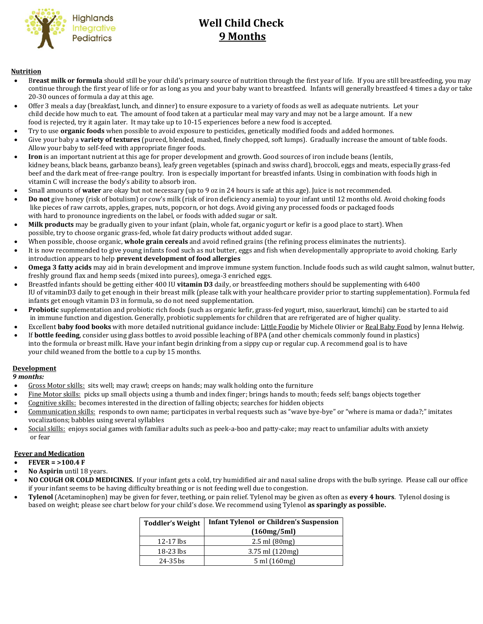

# **Well Child Check**  Highlands<br> **Integrative Well Child Ch**<br> **9 Months**

#### **Nutrition**

- B**reast milk or formula** should still be your child's primary source of nutrition through the first year of life. If you are still breastfeeding, you may continue through the first year of life or for as long as you and your baby want to breastfeed. Infants will generally breastfeed 4 times a day or take 20-30 ounces of formula a day at this age.
- Offer 3 meals a day (breakfast, lunch, and dinner) to ensure exposure to a variety of foods as well as adequate nutrients. Let your child decide how much to eat. The amount of food taken at a particular meal may vary and may not be a large amount. If a new food is rejected, try it again later. It may take up to 10-15 experiences before a new food is accepted.
- Try to use **organic foods** when possible to avoid exposure to pesticides, genetically modified foods and added hormones.
- Give your baby a **variety of textures** (pureed, blended, mashed, finely chopped, soft lumps). Gradually increase the amount of table foods. Allow your baby to self-feed with appropriate finger foods.
- **Iron** is an important nutrient at this age for proper development and growth. Good sources of iron include beans (lentils, kidney beans, black beans, garbanzo beans), leafy green vegetables (spinach and swiss chard), broccoli, eggs and meats, especially grass-fed beef and the dark meat of free-range poultry. Iron is especially important for breastfed infants. Using in combination with foods high in vitamin C will increase the body's ability to absorb iron.
- Small amounts of **water** are okay but not necessary (up to 9 oz in 24 hours is safe at this age). Juice is not recommended.
- **Do not** give honey (risk of botulism) or cow's milk (risk of iron deficiency anemia) to your infant until 12 months old. Avoid choking foods like pieces of raw carrots, apples, grapes, nuts, popcorn, or hot dogs. Avoid giving any processed foods or packaged foods with hard to pronounce ingredients on the label, or foods with added sugar or salt.
- **Milk products** may be gradually given to your infant (plain, whole fat, organic yogurt or kefir is a good place to start). When possible, try to choose organic grass-fed, whole fat dairy products without added sugar.
- When possible, choose organic, **whole grain cereals** and avoid refined grains (the refining process eliminates the nutrients).
- It is now recommended to give young infants food such as nut butter, eggs and fish when developmentally appropriate to avoid choking. Early introduction appears to help **prevent development of food allergies**
- **Omega 3 fatty acids** may aid in brain development and improve immune system function. Include foods such as wild caught salmon, walnut butter, freshly ground flax and hemp seeds (mixed into purees), omega-3 enriched eggs.
- Breastfed infants should be getting either 400 IU **vitamin D3** daily, or breastfeeding mothers should be supplementing with 6400 IU of vitaminD3 daily to get enough in their breast milk (please talk with your healthcare provider prior to starting supplementation). Formula fed infants get enough vitamin D3 in formula, so do not need supplementation.
- **Probiotic** supplementation and probiotic rich foods (such as organic kefir, grass-fed yogurt, miso, sauerkraut, kimchi) can be started to aid in immune function and digestion. Generally, probiotic supplements for children that are refrigerated are of higher quality.
- Excellent **baby food books** with more detailed nutritional guidance include: Little Foodie by Michele Olivier or Real Baby Food by Jenna Helwig.
- If **bottle feeding**, consider using glass bottles to avoid possible leaching of BPA (and other chemicals commonly found in plastics) into the formula or breast milk. Have your infant begin drinking from a sippy cup or regular cup. A recommend goal is to have your child weaned from the bottle to a cup by 15 months.

## **Development**

 *9 months:*

- Gross Motor skills: sits well; may crawl; creeps on hands; may walk holding onto the furniture
- Fine Motor skills: picks up small objects using a thumb and index finger; brings hands to mouth; feeds self; bangs objects together
- Cognitive skills: becomes interested in the direction of falling objects; searches for hidden objects
- Communication skills: responds to own name; participates in verbal requests such as "wave bye-bye" or "where is mama or dada?;" imitates vocalizations; babbles using several syllables
- Social skills: enjoys social games with familiar adults such as peek-a-boo and patty-cake; may react to unfamiliar adults with anxiety or fear

## **Fever and Medication**

- **FEVER = >100.4 F**
- **No Aspirin** until 18 years.
- **NO COUGH OR COLD MEDICINES.** If your infant gets a cold, try humidified air and nasal saline drops with the bulb syringe. Please call our office if your infant seems to be having difficulty breathing or is not feeding well due to congestion.
- **Tylenol** (Acetaminophen) may be given for fever, teething, or pain relief. Tylenol may be given as often as **every 4 hours**. Tylenol dosing is based on weight; please see chart below for your child's dose. We recommend using Tylenol **as sparingly as possible.**

| <b>Toddler's Weight</b> | <b>Infant Tylenol or Children's Suspension</b> |  |
|-------------------------|------------------------------------------------|--|
|                         | (160mg/5ml)                                    |  |
| $12-17$ lbs             | $2.5$ ml $(80mg)$                              |  |
| 18-23 lbs               | $3.75$ ml $(120mg)$                            |  |
| $24 - 35$ bs            | $5 \,\mathrm{ml} \,(160 \,\mathrm{mg})$        |  |